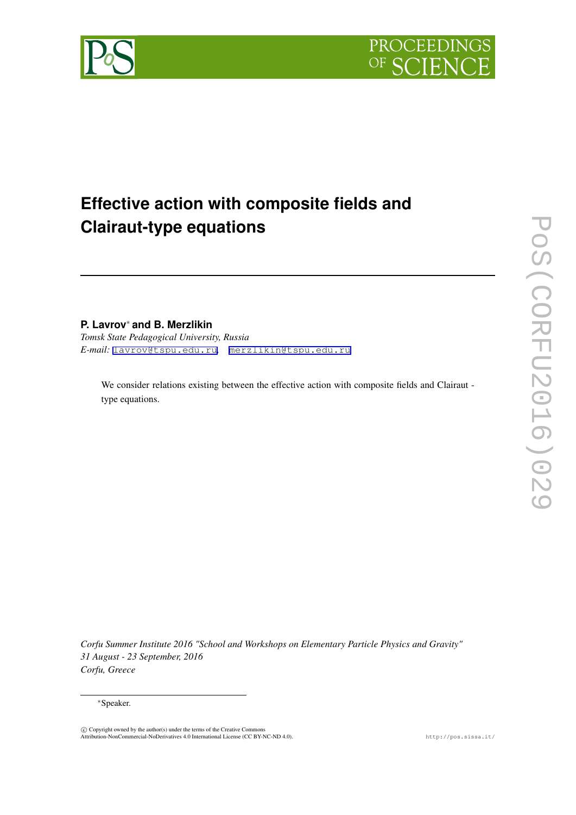

**PROCEEDING** 

OF Q

# **Effective action with composite fields and Clairaut-type equations**

# **P. Lavrov***<sup>∗</sup>* **and B. Merzlikin**

*Tomsk State Pedagogical University, Russia E-mail:* [lavrov@tspu.edu.ru](mailto:lavrov@tspu.edu.ru)*,* [merzlikin@tspu.edu.ru](mailto:merzlikin@tspu.edu.ru)

We consider relations existing between the effective action with composite fields and Clairaut type equations.

*Corfu Summer Institute 2016 "School and Workshops on Elementary Particle Physics and Gravity" 31 August - 23 September, 2016 Corfu, Greece*

### *<sup>∗</sup>*Speaker.

 $\circled{c}$  Copyright owned by the author(s) under the terms of the Creative Commons Attribution-NonCommercial-NoDerivatives 4.0 International License (CC BY-NC-ND 4.0). http://pos.sissa.it/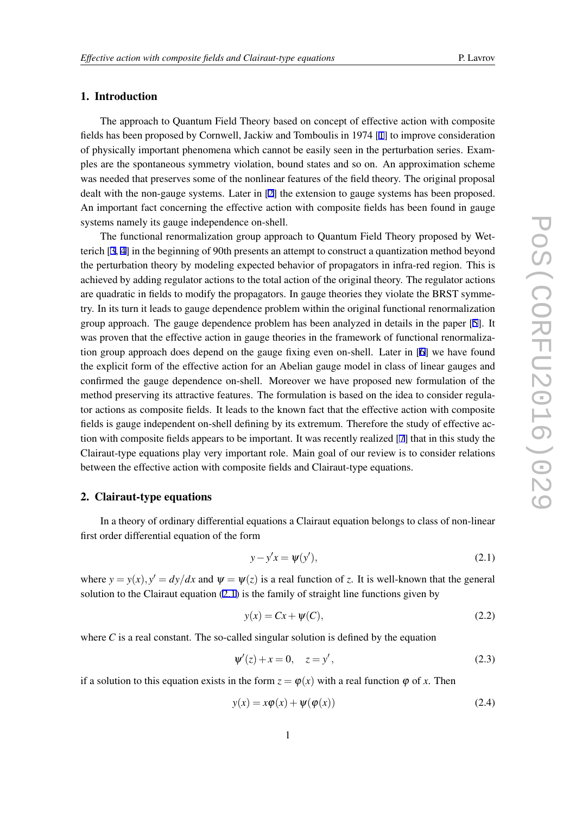# <span id="page-1-0"></span>1. Introduction

The approach to Quantum Field Theory based on concept of effective action with composite fields has been proposed by Cornwell, Jackiw and Tomboulis in 1974 [[1](#page-9-0)] to improve consideration of physically important phenomena which cannot be easily seen in the perturbation series. Examples are the spontaneous symmetry violation, bound states and so on. An approximation scheme was needed that preserves some of the nonlinear features of the field theory. The original proposal dealt with the non-gauge systems. Later in [\[2\]](#page-9-0) the extension to gauge systems has been proposed. An important fact concerning the effective action with composite fields has been found in gauge systems namely its gauge independence on-shell.

The functional renormalization group approach to Quantum Field Theory proposed by Wetterich [\[3,](#page-9-0) [4](#page-9-0)] in the beginning of 90th presents an attempt to construct a quantization method beyond the perturbation theory by modeling expected behavior of propagators in infra-red region. This is achieved by adding regulator actions to the total action of the original theory. The regulator actions are quadratic in fields to modify the propagators. In gauge theories they violate the BRST symmetry. In its turn it leads to gauge dependence problem within the original functional renormalization group approach. The gauge dependence problem has been analyzed in details in the paper [[5](#page-9-0)]. It was proven that the effective action in gauge theories in the framework of functional renormalization group approach does depend on the gauge fixing even on-shell. Later in [[6](#page-10-0)] we have found the explicit form of the effective action for an Abelian gauge model in class of linear gauges and confirmed the gauge dependence on-shell. Moreover we have proposed new formulation of the method preserving its attractive features. The formulation is based on the idea to consider regulator actions as composite fields. It leads to the known fact that the effective action with composite fields is gauge independent on-shell defining by its extremum. Therefore the study of effective action with composite fields appears to be important. It was recently realized [[7](#page-10-0)] that in this study the Clairaut-type equations play very important role. Main goal of our review is to consider relations between the effective action with composite fields and Clairaut-type equations.

# 2. Clairaut-type equations

In a theory of ordinary differential equations a Clairaut equation belongs to class of non-linear first order differential equation of the form

$$
y - y'x = \psi(y'),\tag{2.1}
$$

where  $y = y(x)$ ,  $y' = dy/dx$  and  $\psi = \psi(z)$  is a real function of *z*. It is well-known that the general solution to the Clairaut equation (2.1) is the family of straight line functions given by

$$
y(x) = Cx + \psi(C), \tag{2.2}
$$

where  $C$  is a real constant. The so-called singular solution is defined by the equation

$$
\psi'(z) + x = 0, \quad z = y', \tag{2.3}
$$

if a solution to this equation exists in the form  $z = \varphi(x)$  with a real function  $\varphi$  of x. Then

$$
y(x) = x\phi(x) + \psi(\phi(x))
$$
\n(2.4)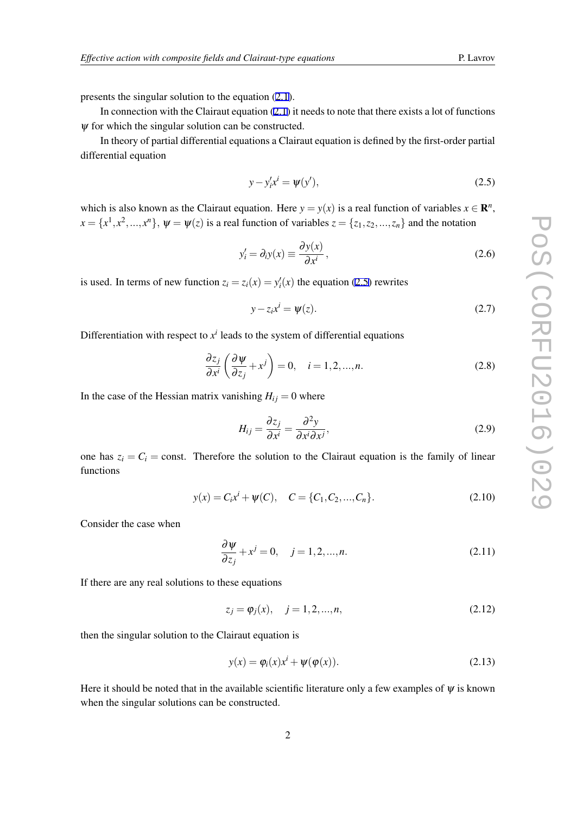presents the singular solution to the equation ([2.1](#page-1-0)).

In connection with the Clairaut equation  $(2.1)$  it needs to note that there exists a lot of functions  $\psi$  for which the singular solution can be constructed.

In theory of partial differential equations a Clairaut equation is defined by the first-order partial differential equation

$$
y - y'_i x^i = \psi(y'),
$$
 (2.5)

which is also known as the Clairaut equation. Here  $y = y(x)$  is a real function of variables  $x \in \mathbb{R}^n$ ,  $x = \{x^1, x^2, ..., x^n\}$ ,  $\psi = \psi(z)$  is a real function of variables  $z = \{z_1, z_2, ..., z_n\}$  and the notation

$$
y_i' = \partial_i y(x) \equiv \frac{\partial y(x)}{\partial x^i},
$$
\n(2.6)

is used. In terms of new function  $z_i = z_i(x) = y'_i(x)$  the equation (2.5) rewrites

$$
y - z_i x^i = \psi(z). \tag{2.7}
$$

Differentiation with respect to  $x^i$  leads to the system of differential equations

$$
\frac{\partial z_j}{\partial x^i} \left( \frac{\partial \psi}{\partial z_j} + x^j \right) = 0, \quad i = 1, 2, ..., n. \tag{2.8}
$$

In the case of the Hessian matrix vanishing  $H_{ij} = 0$  where

$$
H_{ij} = \frac{\partial z_j}{\partial x^i} = \frac{\partial^2 y}{\partial x^i \partial x^j},\tag{2.9}
$$

one has  $z_i = C_i$  = const. Therefore the solution to the Clairaut equation is the family of linear functions

$$
y(x) = C_i x^{i} + \psi(C), \quad C = \{C_1, C_2, ..., C_n\}.
$$
 (2.10)

Consider the case when

$$
\frac{\partial \psi}{\partial z_j} + x^j = 0, \quad j = 1, 2, \dots, n. \tag{2.11}
$$

If there are any real solutions to these equations

$$
z_j = \varphi_j(x), \quad j = 1, 2, ..., n,
$$
\n(2.12)

then the singular solution to the Clairaut equation is

$$
y(x) = \varphi_i(x)x^i + \psi(\varphi(x)).
$$
\n(2.13)

Here it should be noted that in the available scientific literature only a few examples of  $\psi$  is known when the singular solutions can be constructed.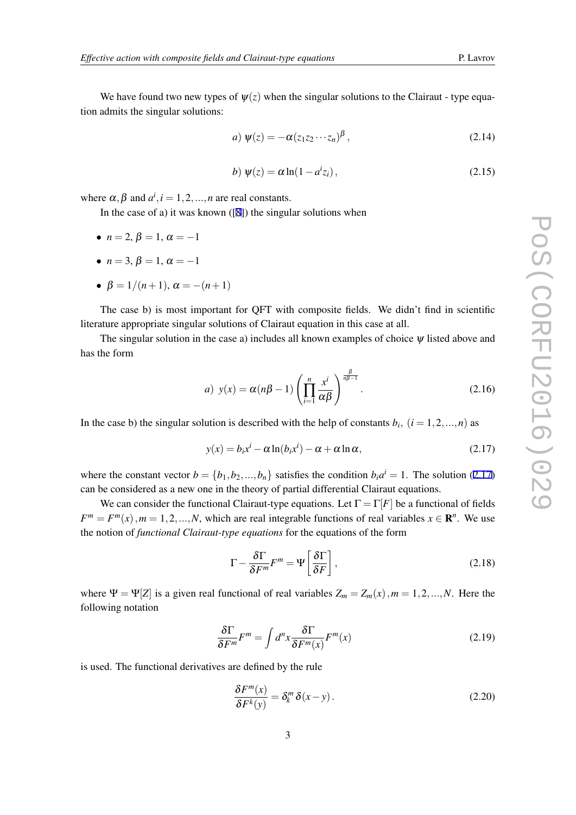<span id="page-3-0"></span>We have found two new types of  $\psi(z)$  when the singular solutions to the Clairaut - type equation admits the singular solutions:

$$
a) \psi(z) = -\alpha (z_1 z_2 \cdots z_n)^\beta, \qquad (2.14)
$$

$$
b)\,\,\psi(z) = \alpha \ln(1 - a^i z_i)\,,\tag{2.15}
$$

where  $\alpha, \beta$  and  $a^i, i = 1, 2, ..., n$  are real constants.

In the case of a) it was known  $([8])$  $([8])$  $([8])$  the singular solutions when

- $n = 2, \beta = 1, \alpha = -1$
- $n = 3, \beta = 1, \alpha = -1$
- $\beta = 1/(n+1), \alpha = -(n+1)$

The case b) is most important for QFT with composite fields. We didn't find in scientific literature appropriate singular solutions of Clairaut equation in this case at all.

The singular solution in the case a) includes all known examples of choice  $\psi$  listed above and has the form

a) 
$$
y(x) = \alpha(n\beta - 1) \left( \prod_{i=1}^{n} \frac{x^{i}}{\alpha \beta} \right)^{\frac{\beta}{n\beta - 1}}
$$
. (2.16)

In the case b) the singular solution is described with the help of constants  $b_i$ ,  $(i = 1, 2, ..., n)$  as

$$
y(x) = b_i x^i - \alpha \ln(b_i x^i) - \alpha + \alpha \ln \alpha,
$$
\n(2.17)

where the constant vector  $b = \{b_1, b_2, ..., b_n\}$  satisfies the condition  $b_i a^i = 1$ . The solution (2.17) can be considered as a new one in the theory of partial differential Clairaut equations.

We can consider the functional Clairaut-type equations. Let  $\Gamma = \Gamma[F]$  be a functional of fields  $F^m = F^m(x)$ ,  $m = 1, 2, ..., N$ , which are real integrable functions of real variables  $x \in \mathbb{R}^n$ . We use the notion of *functional Clairaut-type equations* for the equations of the form

$$
\Gamma - \frac{\delta \Gamma}{\delta F^m} F^m = \Psi \left[ \frac{\delta \Gamma}{\delta F} \right],\tag{2.18}
$$

where  $\Psi = \Psi[Z]$  is a given real functional of real variables  $Z_m = Z_m(x)$ ,  $m = 1, 2, ..., N$ . Here the following notation

$$
\frac{\delta \Gamma}{\delta F^m} F^m = \int d^n x \frac{\delta \Gamma}{\delta F^m(x)} F^m(x) \tag{2.19}
$$

is used. The functional derivatives are defined by the rule

$$
\frac{\delta F^m(x)}{\delta F^k(y)} = \delta_k^m \delta(x - y).
$$
\n(2.20)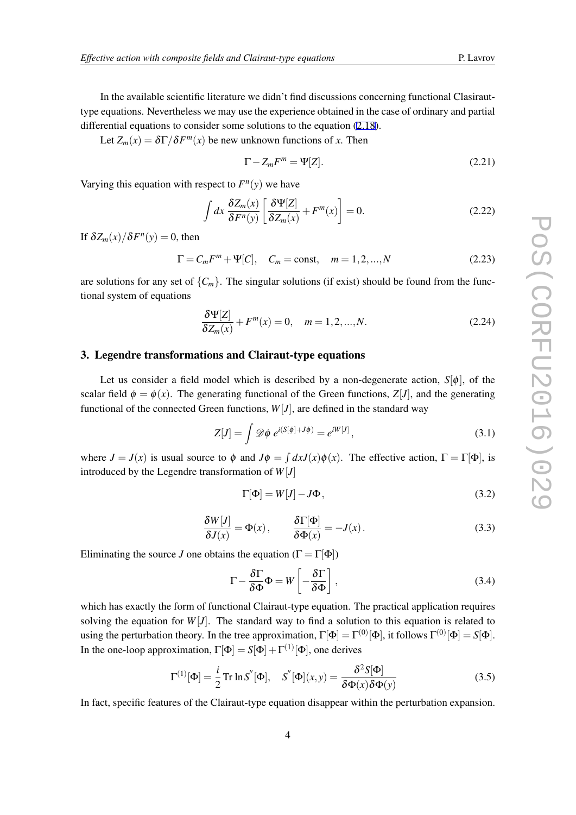In the available scientific literature we didn't find discussions concerning functional Clasirauttype equations. Nevertheless we may use the experience obtained in the case of ordinary and partial differential equations to consider some solutions to the equation ([2.18\)](#page-3-0).

Let  $Z_m(x) = \delta \Gamma / \delta F^m(x)$  be new unknown functions of *x*. Then

$$
\Gamma - Z_m F^m = \Psi[Z]. \tag{2.21}
$$

Varying this equation with respect to  $F<sup>n</sup>(y)$  we have

$$
\int dx \frac{\delta Z_m(x)}{\delta F^n(y)} \left[ \frac{\delta \Psi[Z]}{\delta Z_m(x)} + F^m(x) \right] = 0.
$$
\n(2.22)

If  $\delta Z_m(x)/\delta F^n(y) = 0$ , then

$$
\Gamma = C_m F^m + \Psi[C], \quad C_m = \text{const}, \quad m = 1, 2, ..., N \tag{2.23}
$$

are solutions for any set of  ${C_m}$ . The singular solutions (if exist) should be found from the functional system of equations

$$
\frac{\delta \Psi[Z]}{\delta Z_m(x)} + F^m(x) = 0, \quad m = 1, 2, ..., N. \tag{2.24}
$$

# 3. Legendre transformations and Clairaut-type equations

Let us consider a field model which is described by a non-degenerate action,  $S[\phi]$ , of the scalar field  $\phi = \phi(x)$ . The generating functional of the Green functions,  $Z[J]$ , and the generating functional of the connected Green functions,  $W[J]$ , are defined in the standard way

$$
Z[J] = \int \mathscr{D}\phi \; e^{i(S[\phi] + J\phi)} = e^{iW[J]}, \tag{3.1}
$$

where  $J = J(x)$  is usual source to  $\phi$  and  $J\phi = \int dx J(x)\phi(x)$ . The effective action,  $\Gamma = \Gamma[\Phi]$ , is introduced by the Legendre transformation of *W*[*J*]

$$
\Gamma[\Phi] = W[J] - J\Phi, \tag{3.2}
$$

$$
\frac{\delta W[J]}{\delta J(x)} = \Phi(x), \qquad \frac{\delta \Gamma[\Phi]}{\delta \Phi(x)} = -J(x). \tag{3.3}
$$

Eliminating the source *J* one obtains the equation ( $\Gamma = \Gamma[\Phi]$ )

$$
\Gamma - \frac{\delta \Gamma}{\delta \Phi} \Phi = W \left[ -\frac{\delta \Gamma}{\delta \Phi} \right],
$$
\n(3.4)

which has exactly the form of functional Clairaut-type equation. The practical application requires solving the equation for  $W[J]$ . The standard way to find a solution to this equation is related to using the perturbation theory. In the tree approximation,  $\Gamma[\Phi] = \Gamma^{(0)}[\Phi]$ , it follows  $\Gamma^{(0)}[\Phi] = S[\Phi]$ . In the one-loop approximation,  $\Gamma[\Phi] = S[\Phi] + \Gamma^{(1)}[\Phi]$ , one derives

$$
\Gamma^{(1)}[\Phi] = \frac{i}{2} \operatorname{Tr} \ln S''[\Phi], \quad S''[\Phi](x, y) = \frac{\delta^2 S[\Phi]}{\delta \Phi(x) \delta \Phi(y)} \tag{3.5}
$$

In fact, specific features of the Clairaut-type equation disappear within the perturbation expansion.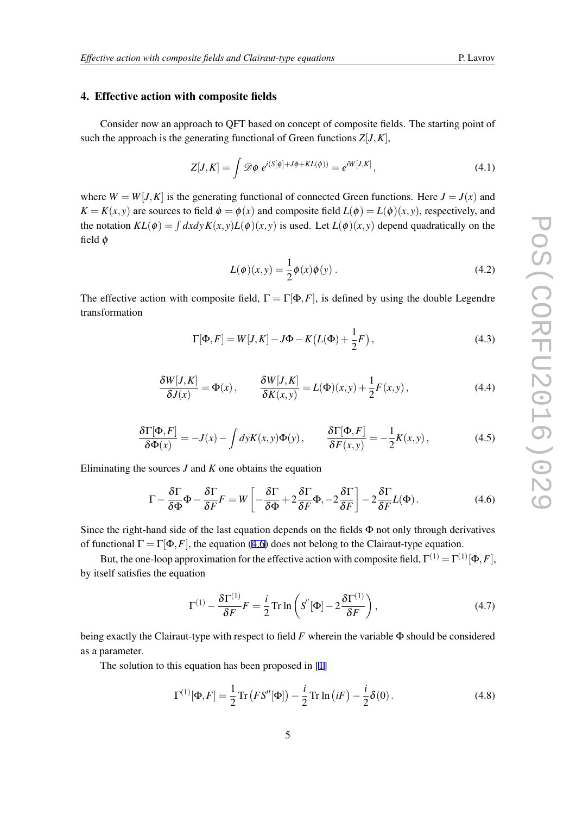## 4. Effective action with composite fields

Consider now an approach to QFT based on concept of composite fields. The starting point of such the approach is the generating functional of Green functions  $Z[J,K]$ ,

$$
Z[J,K] = \int \mathscr{D}\phi \ e^{i(S[\phi] + J\phi + KL(\phi))} = e^{iW[J,K]}, \tag{4.1}
$$

where  $W = W[J,K]$  is the generating functional of connected Green functions. Here  $J = J(x)$  and  $K = K(x, y)$  are sources to field  $\phi = \phi(x)$  and composite field  $L(\phi) = L(\phi)(x, y)$ , respectively, and the notation  $KL(\phi) = \int dx dy K(x, y) L(\phi)(x, y)$  is used. Let  $L(\phi)(x, y)$  depend quadratically on the field ϕ

$$
L(\phi)(x, y) = \frac{1}{2}\phi(x)\phi(y).
$$
 (4.2)

The effective action with composite field,  $\Gamma = \Gamma[\Phi, F]$ , is defined by using the double Legendre transformation

$$
\Gamma[\Phi, F] = W[J, K] - J\Phi - K\left(L(\Phi) + \frac{1}{2}F\right),\tag{4.3}
$$

$$
\frac{\delta W[J,K]}{\delta J(x)} = \Phi(x), \qquad \frac{\delta W[J,K]}{\delta K(x,y)} = L(\Phi)(x,y) + \frac{1}{2}F(x,y), \qquad (4.4)
$$

$$
\frac{\delta\Gamma[\Phi,F]}{\delta\Phi(x)} = -J(x) - \int dyK(x,y)\Phi(y), \qquad \frac{\delta\Gamma[\Phi,F]}{\delta F(x,y)} = -\frac{1}{2}K(x,y), \qquad (4.5)
$$

Eliminating the sources *J* and *K* one obtains the equation

$$
\Gamma - \frac{\delta \Gamma}{\delta \Phi} \Phi - \frac{\delta \Gamma}{\delta F} F = W \left[ -\frac{\delta \Gamma}{\delta \Phi} + 2 \frac{\delta \Gamma}{\delta F} \Phi, -2 \frac{\delta \Gamma}{\delta F} \right] - 2 \frac{\delta \Gamma}{\delta F} L(\Phi). \tag{4.6}
$$

Since the right-hand side of the last equation depends on the fields  $\Phi$  not only through derivatives of functional  $\Gamma = \Gamma[\Phi, F]$ , the equation (4.6) does not belong to the Clairaut-type equation.

But, the one-loop approximation for the effective action with composite field,  $\Gamma^{(1)} = \Gamma^{(1)}[\Phi, F]$ , by itself satisfies the equation

$$
\Gamma^{(1)} - \frac{\delta \Gamma^{(1)}}{\delta F} F = \frac{i}{2} \operatorname{Tr} \ln \left( S''[\Phi] - 2 \frac{\delta \Gamma^{(1)}}{\delta F} \right),\tag{4.7}
$$

being exactly the Clairaut-type with respect to field *F* wherein the variable Φ should be considered as a parameter.

The solution to this equation has been proposed in [\[1\]](#page-9-0)

$$
\Gamma^{(1)}[\Phi, F] = \frac{1}{2} \text{Tr} \left( F S''[\Phi] \right) - \frac{i}{2} \text{Tr} \ln \left( iF \right) - \frac{i}{2} \delta(0). \tag{4.8}
$$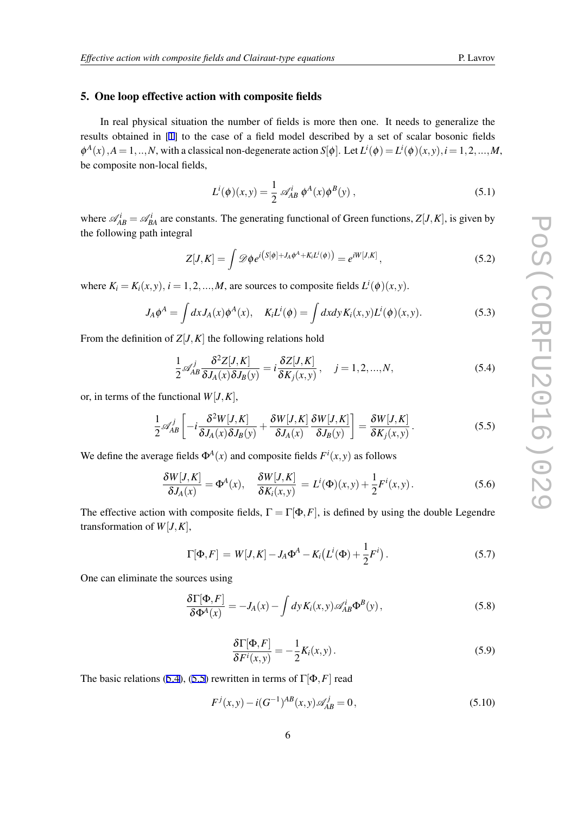#### 5. One loop effective action with composite fields

In real physical situation the number of fields is more then one. It needs to generalize the results obtained in [[1](#page-9-0)] to the case of a field model described by a set of scalar bosonic fields  $\phi^A(x)$ ,  $A = 1, ..., N$ , with a classical non-degenerate action  $S[\phi]$ . Let  $L^i(\phi) = L^i(\phi)(x, y)$ ,  $i = 1, 2, ..., M$ , be composite non-local fields,

$$
L^{i}(\phi)(x, y) = \frac{1}{2} \mathscr{A}_{AB}^{i} \phi^{A}(x) \phi^{B}(y) , \qquad (5.1)
$$

where  $\mathcal{A}_{AB}^i = \mathcal{A}_{BA}^i$  are constants. The generating functional of Green functions,  $Z[J,K]$ , is given by the following path integral

$$
Z[J,K] = \int \mathcal{D}\phi e^{i(S[\phi] + J_A \phi^A + K_i L^i(\phi))} = e^{iW[J,K]}, \qquad (5.2)
$$

where  $K_i = K_i(x, y)$ ,  $i = 1, 2, ..., M$ , are sources to composite fields  $L^i(\phi)(x, y)$ .

$$
J_A \phi^A = \int dx J_A(x) \phi^A(x), \quad K_i L^i(\phi) = \int dx dy K_i(x, y) L^i(\phi)(x, y). \tag{5.3}
$$

From the definition of  $Z[J,K]$  the following relations hold

$$
\frac{1}{2} \mathscr{A}_{AB}^j \frac{\delta^2 Z[J,K]}{\delta J_A(x) \delta J_B(y)} = i \frac{\delta Z[J,K]}{\delta K_j(x,y)}, \quad j = 1,2,...,N,
$$
\n(5.4)

or, in terms of the functional  $W[J,K]$ ,

$$
\frac{1}{2} \mathscr{A}_{AB}^j \left[ -i \frac{\delta^2 W[J, K]}{\delta J_A(x) \delta J_B(y)} + \frac{\delta W[J, K]}{\delta J_A(x)} \frac{\delta W[J, K]}{\delta J_B(y)} \right] = \frac{\delta W[J, K]}{\delta K_j(x, y)}.
$$
\n(5.5)

We define the average fields  $\Phi^A(x)$  and composite fields  $F^i(x, y)$  as follows

$$
\frac{\delta W[J,K]}{\delta J_A(x)} = \Phi^A(x), \quad \frac{\delta W[J,K]}{\delta K_i(x,y)} = L^i(\Phi)(x,y) + \frac{1}{2}F^i(x,y).
$$
\n(5.6)

The effective action with composite fields,  $\Gamma = \Gamma[\Phi, F]$ , is defined by using the double Legendre transformation of  $W[J,K]$ ,

$$
\Gamma[\Phi, F] = W[J, K] - J_A \Phi^A - K_i (L^i(\Phi) + \frac{1}{2} F^i).
$$
 (5.7)

One can eliminate the sources using

$$
\frac{\delta\Gamma[\Phi,F]}{\delta\Phi^A(x)} = -J_A(x) - \int dy K_i(x,y) \mathscr{A}_{AB}^i \Phi^B(y), \qquad (5.8)
$$

$$
\frac{\delta\Gamma[\Phi,F]}{\delta F^i(x,y)} = -\frac{1}{2}K_i(x,y). \tag{5.9}
$$

The basic relations (5.4), (5.5) rewritten in terms of  $\Gamma[\Phi, F]$  read

$$
F^{j}(x, y) - i(G^{-1})^{AB}(x, y)\mathscr{A}_{AB}^{j} = 0,
$$
\n(5.10)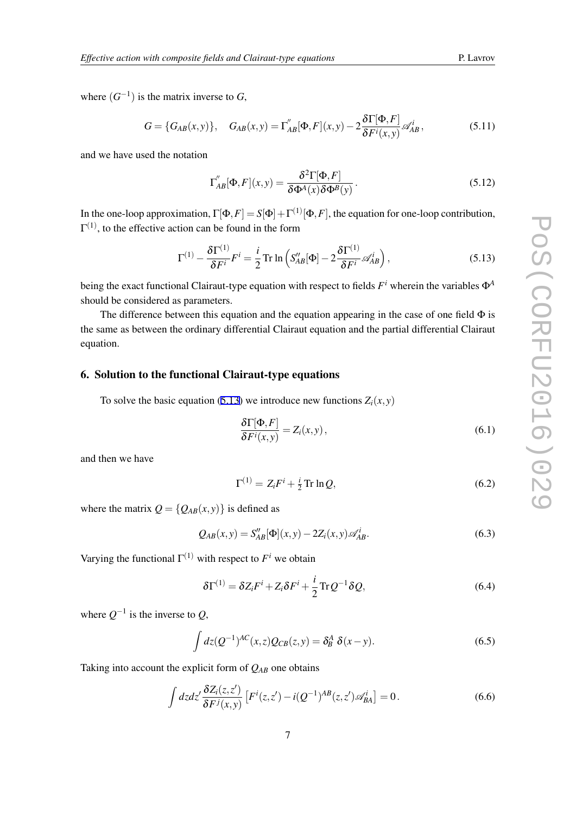where  $(G^{-1})$  is the matrix inverse to  $G$ ,

$$
G = \{G_{AB}(x, y)\}, \quad G_{AB}(x, y) = \Gamma''_{AB}[\Phi, F](x, y) - 2\frac{\delta \Gamma[\Phi, F]}{\delta F^i(x, y)} \mathscr{A}^i_{AB},
$$
(5.11)

and we have used the notation

$$
\Gamma''_{AB}[\Phi, F](x, y) = \frac{\delta^2 \Gamma[\Phi, F]}{\delta \Phi^A(x) \delta \Phi^B(y)}.
$$
\n(5.12)

In the one-loop approximation,  $\Gamma[\Phi, F] = S[\Phi] + \Gamma^{(1)}[\Phi, F]$ , the equation for one-loop contribution,  $\Gamma^{(1)}$ , to the effective action can be found in the form

$$
\Gamma^{(1)} - \frac{\delta \Gamma^{(1)}}{\delta F^i} F^i = \frac{i}{2} \operatorname{Tr} \ln \left( S''_{AB} [\Phi] - 2 \frac{\delta \Gamma^{(1)}}{\delta F^i} \mathscr{A}_{AB}^i \right),\tag{5.13}
$$

being the exact functional Clairaut-type equation with respect to fields *F <sup>i</sup>* wherein the variables Φ*<sup>A</sup>* should be considered as parameters.

The difference between this equation and the equation appearing in the case of one field  $\Phi$  is the same as between the ordinary differential Clairaut equation and the partial differential Clairaut equation.

# 6. Solution to the functional Clairaut-type equations

To solve the basic equation (5.13) we introduce new functions  $Z_i(x, y)$ 

$$
\frac{\delta\Gamma[\Phi,F]}{\delta F^i(x,y)} = Z_i(x,y),\tag{6.1}
$$

and then we have

$$
\Gamma^{(1)} = Z_i F^i + \frac{i}{2} \operatorname{Tr} \ln Q,\tag{6.2}
$$

where the matrix  $Q = \{Q_{AB}(x, y)\}$  is defined as

$$
Q_{AB}(x, y) = S''_{AB}[\Phi](x, y) - 2Z_i(x, y)\mathscr{A}_{AB}^i.
$$
 (6.3)

Varying the functional  $\Gamma^{(1)}$  with respect to  $F^i$  we obtain

$$
\delta\Gamma^{(1)} = \delta Z_i F^i + Z_i \delta F^i + \frac{i}{2} \text{Tr} Q^{-1} \delta Q, \qquad (6.4)
$$

where  $Q^{-1}$  is the inverse to  $Q$ ,

$$
\int dz (Q^{-1})^{AC}(x,z)Q_{CB}(z,y) = \delta_B^A \delta(x-y). \tag{6.5}
$$

Taking into account the explicit form of *QAB* one obtains

$$
\int dz dz' \frac{\delta Z_i(z, z')}{\delta F^j(x, y)} \left[ F^i(z, z') - i(Q^{-1})^{AB}(z, z') \mathscr{A}_{BA}^i \right] = 0. \tag{6.6}
$$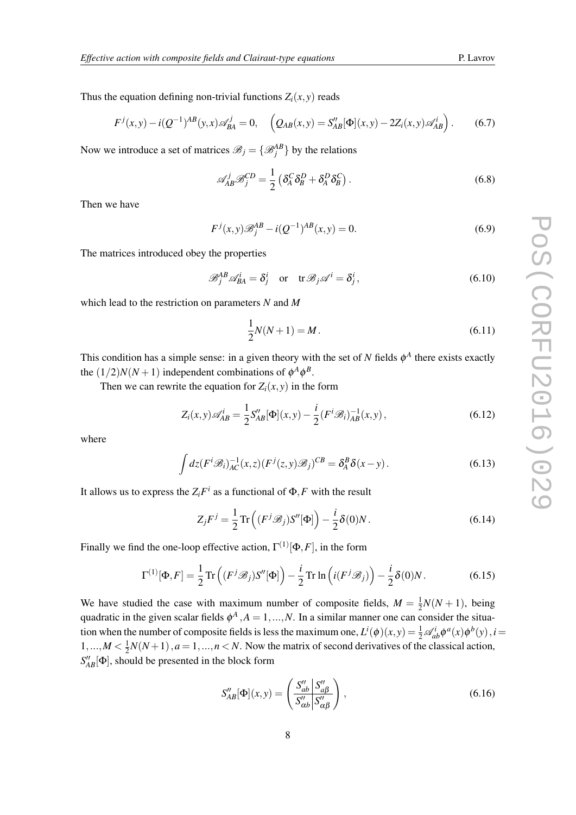Thus the equation defining non-trivial functions  $Z_i(x, y)$  reads

$$
F^{j}(x,y) - i(Q^{-1})^{AB}(y,x)\mathscr{A}_{BA}^{j} = 0, \quad \left(Q_{AB}(x,y) = S''_{AB}[\Phi](x,y) - 2Z_{i}(x,y)\mathscr{A}_{AB}^{i}\right). \tag{6.7}
$$

Now we introduce a set of matrices  $\mathcal{B}_j = \{ \mathcal{B}_j^{AB} \}$  by the relations

$$
\mathscr{A}_{AB}^j \mathscr{B}_{j}^{CD} = \frac{1}{2} \left( \delta_A^C \delta_B^D + \delta_A^D \delta_B^C \right). \tag{6.8}
$$

Then we have

$$
F^{j}(x, y)\mathcal{B}_{j}^{AB} - i(Q^{-1})^{AB}(x, y) = 0.
$$
\n(6.9)

The matrices introduced obey the properties

$$
\mathcal{B}_j^{AB} \mathcal{A}_{BA}^i = \delta_j^i \quad \text{or} \quad \text{tr} \mathcal{B}_j \mathcal{A}^i = \delta_j^i, \tag{6.10}
$$

which lead to the restriction on parameters *N* and *M*

$$
\frac{1}{2}N(N+1) = M.
$$
\n(6.11)

This condition has a simple sense: in a given theory with the set of  $N$  fields  $\phi^A$  there exists exactly the  $(1/2)N(N+1)$  independent combinations of  $\phi^A \phi^B$ .

Then we can rewrite the equation for  $Z_i(x, y)$  in the form

$$
Z_i(x, y)\mathscr{A}_{AB}^i = \frac{1}{2}S_{AB}^{\prime\prime}[\Phi](x, y) - \frac{i}{2}(F^i\mathscr{B}_i)^{-1}_{AB}(x, y), \qquad (6.12)
$$

where

$$
\int dz (F^i \mathscr{B}_i)_{AC}^{-1}(x, z) (F^j(z, y) \mathscr{B}_j)^{CB} = \delta_A^B \delta(x - y).
$$
 (6.13)

It allows us to express the  $Z_iF^i$  as a functional of  $\Phi, F$  with the result

$$
Z_j F^j = \frac{1}{2} \operatorname{Tr} \left( (F^j \mathcal{B}_j) S''[\Phi] \right) - \frac{i}{2} \delta(0) N. \tag{6.14}
$$

Finally we find the one-loop effective action,  $\Gamma^{(1)}[\Phi, F]$ , in the form

$$
\Gamma^{(1)}[\Phi, F] = \frac{1}{2} \operatorname{Tr}\left( (F^j \mathscr{B}_j) S''[\Phi] \right) - \frac{i}{2} \operatorname{Tr} \ln\left( i (F^j \mathscr{B}_j) \right) - \frac{i}{2} \delta(0) N. \tag{6.15}
$$

We have studied the case with maximum number of composite fields,  $M = \frac{1}{2}$  $\frac{1}{2}N(N+1)$ , being quadratic in the given scalar fields  $\phi^A$ ,  $A = 1, ..., N$ . In a similar manner one can consider the situation when the number of composite fields is less the maximum one,  $L^i(\phi)(x, y) = \frac{1}{2} \mathcal{A}_{ab}^i \phi^a(x) \phi^b(y)$ ,  $i =$  $1, \ldots, M < \frac{1}{2}$  $\frac{1}{2}N(N+1)$ ,  $a=1,...,n < N$ . Now the matrix of second derivatives of the classical action,  $S''_{AB}[\Phi]$ , should be presented in the block form

$$
S_{AB}''[\Phi](x,y) = \left(\frac{S_{ab}''|S_{a\beta}''}{S_{\alpha b}''|S_{\alpha \beta}''}\right),\tag{6.16}
$$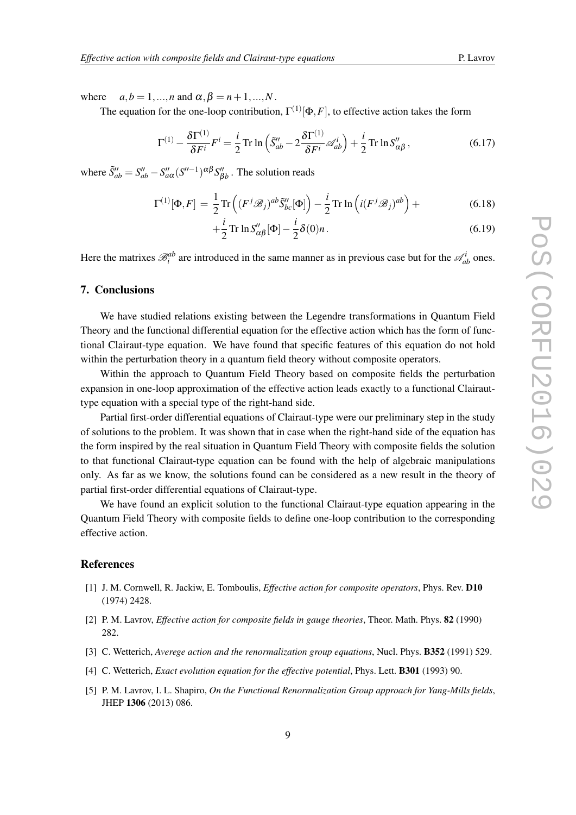<span id="page-9-0"></span>where  $a, b = 1, \ldots, n$  and  $\alpha, \beta = n+1, \ldots, N$ .

The equation for the one-loop contribution,  $\Gamma^{(1)}[\Phi, F]$ , to effective action takes the form

$$
\Gamma^{(1)} - \frac{\delta \Gamma^{(1)}}{\delta F^i} F^i = \frac{i}{2} \operatorname{Tr} \ln \left( \tilde{S}_{ab}'' - 2 \frac{\delta \Gamma^{(1)}}{\delta F^i} \mathscr{A}_{ab}^i \right) + \frac{i}{2} \operatorname{Tr} \ln S_{\alpha\beta}'' \,, \tag{6.17}
$$

where  $\tilde{S}''_{ab} = S''_{ab} - S''_{a\alpha} (S''^{-1})^{\alpha\beta} S''_{\beta b}$ . The solution reads

$$
\Gamma^{(1)}[\Phi, F] = \frac{1}{2} \text{Tr}\left( (F^j \mathscr{B}_j)^{ab} \tilde{S}_{bc}''[\Phi] \right) - \frac{i}{2} \text{Tr} \ln \left( i (F^j \mathscr{B}_j)^{ab} \right) + \tag{6.18}
$$

$$
+\frac{i}{2}\operatorname{Tr}\ln S''_{\alpha\beta}[\Phi]-\frac{i}{2}\delta(0)n.\tag{6.19}
$$

Here the matrixes  $\mathcal{B}_i^{ab}$  are introduced in the same manner as in previous case but for the  $\mathcal{A}_{ab}^i$  ones.

# 7. Conclusions

We have studied relations existing between the Legendre transformations in Quantum Field Theory and the functional differential equation for the effective action which has the form of functional Clairaut-type equation. We have found that specific features of this equation do not hold within the perturbation theory in a quantum field theory without composite operators.

Within the approach to Quantum Field Theory based on composite fields the perturbation expansion in one-loop approximation of the effective action leads exactly to a functional Clairauttype equation with a special type of the right-hand side.

Partial first-order differential equations of Clairaut-type were our preliminary step in the study of solutions to the problem. It was shown that in case when the right-hand side of the equation has the form inspired by the real situation in Quantum Field Theory with composite fields the solution to that functional Clairaut-type equation can be found with the help of algebraic manipulations only. As far as we know, the solutions found can be considered as a new result in the theory of partial first-order differential equations of Clairaut-type.

We have found an explicit solution to the functional Clairaut-type equation appearing in the Quantum Field Theory with composite fields to define one-loop contribution to the corresponding effective action.

## References

- [1] J. M. Cornwell, R. Jackiw, E. Tomboulis, *Effective action for composite operators*, Phys. Rev. D10 (1974) 2428.
- [2] P. M. Lavrov, *Effective action for composite fields in gauge theories*, Theor. Math. Phys. 82 (1990) 282.
- [3] C. Wetterich, *Averege action and the renormalization group equations*, Nucl. Phys. B352 (1991) 529.
- [4] C. Wetterich, *Exact evolution equation for the effective potential*, Phys. Lett. B301 (1993) 90.
- [5] P. M. Lavrov, I. L. Shapiro, *On the Functional Renormalization Group approach for Yang-Mills fields*, JHEP 1306 (2013) 086.